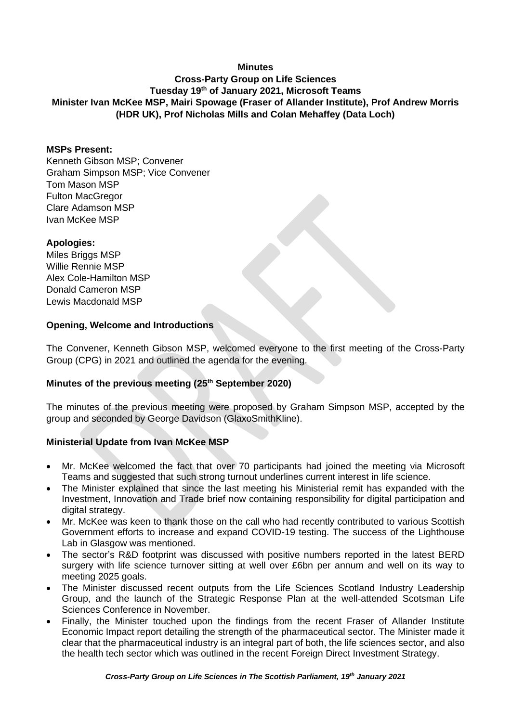## **Minutes**

# **Cross-Party Group on Life Sciences Tuesday 19 th of January 2021, Microsoft Teams Minister Ivan McKee MSP, Mairi Spowage (Fraser of Allander Institute), Prof Andrew Morris (HDR UK), Prof Nicholas Mills and Colan Mehaffey (Data Loch)**

#### **MSPs Present:**

Kenneth Gibson MSP; Convener Graham Simpson MSP; Vice Convener Tom Mason MSP Fulton MacGregor Clare Adamson MSP Ivan McKee MSP

#### **Apologies:**

Miles Briggs MSP Willie Rennie MSP Alex Cole-Hamilton MSP Donald Cameron MSP Lewis Macdonald MSP

### **Opening, Welcome and Introductions**

The Convener, Kenneth Gibson MSP, welcomed everyone to the first meeting of the Cross-Party Group (CPG) in 2021 and outlined the agenda for the evening.

### **Minutes of the previous meeting (25th September 2020)**

The minutes of the previous meeting were proposed by Graham Simpson MSP, accepted by the group and seconded by George Davidson (GlaxoSmithKline).

### **Ministerial Update from Ivan McKee MSP**

- Mr. McKee welcomed the fact that over 70 participants had joined the meeting via Microsoft Teams and suggested that such strong turnout underlines current interest in life science.
- The Minister explained that since the last meeting his Ministerial remit has expanded with the Investment, Innovation and Trade brief now containing responsibility for digital participation and digital strategy.
- Mr. McKee was keen to thank those on the call who had recently contributed to various Scottish Government efforts to increase and expand COVID-19 testing. The success of the Lighthouse Lab in Glasgow was mentioned.
- The sector's R&D footprint was discussed with positive numbers reported in the latest BERD surgery with life science turnover sitting at well over £6bn per annum and well on its way to meeting 2025 goals.
- The Minister discussed recent outputs from the Life Sciences Scotland Industry Leadership Group, and the launch of the Strategic Response Plan at the well-attended Scotsman Life Sciences Conference in November.
- Finally, the Minister touched upon the findings from the recent Fraser of Allander Institute Economic Impact report detailing the strength of the pharmaceutical sector. The Minister made it clear that the pharmaceutical industry is an integral part of both, the life sciences sector, and also the health tech sector which was outlined in the recent Foreign Direct Investment Strategy.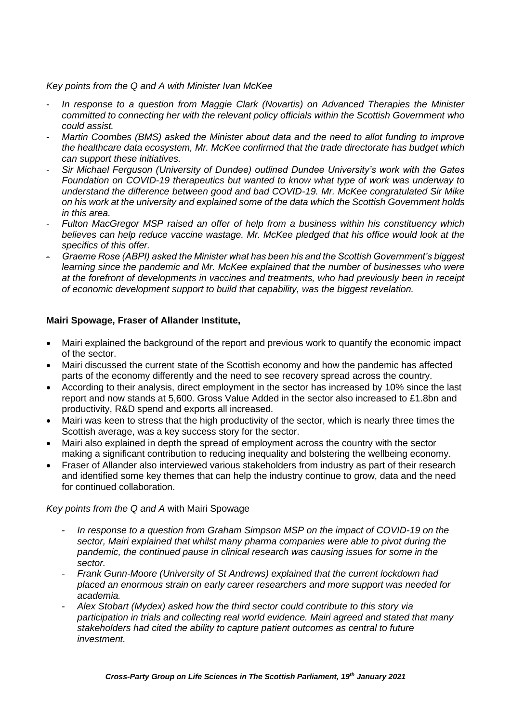#### *Key points from the Q and A with Minister Ivan McKee*

- *In response to a question from Maggie Clark (Novartis) on Advanced Therapies the Minister committed to connecting her with the relevant policy officials within the Scottish Government who could assist.*
- *Martin Coombes (BMS) asked the Minister about data and the need to allot funding to improve the healthcare data ecosystem, Mr. McKee confirmed that the trade directorate has budget which can support these initiatives.*
- *Sir Michael Ferguson (University of Dundee) outlined Dundee University's work with the Gates Foundation on COVID-19 therapeutics but wanted to know what type of work was underway to understand the difference between good and bad COVID-19. Mr. McKee congratulated Sir Mike on his work at the university and explained some of the data which the Scottish Government holds in this area.*
- *Fulton MacGregor MSP raised an offer of help from a business within his constituency which believes can help reduce vaccine wastage. Mr. McKee pledged that his office would look at the specifics of this offer.*
- *Graeme Rose (ABPI) asked the Minister what has been his and the Scottish Government's biggest learning since the pandemic and Mr. McKee explained that the number of businesses who were at the forefront of developments in vaccines and treatments, who had previously been in receipt of economic development support to build that capability, was the biggest revelation.*

## **Mairi Spowage, Fraser of Allander Institute,**

- Mairi explained the background of the report and previous work to quantify the economic impact of the sector.
- Mairi discussed the current state of the Scottish economy and how the pandemic has affected parts of the economy differently and the need to see recovery spread across the country.
- According to their analysis, direct employment in the sector has increased by 10% since the last report and now stands at 5,600. Gross Value Added in the sector also increased to £1.8bn and productivity, R&D spend and exports all increased.
- Mairi was keen to stress that the high productivity of the sector, which is nearly three times the Scottish average, was a key success story for the sector.
- Mairi also explained in depth the spread of employment across the country with the sector making a significant contribution to reducing inequality and bolstering the wellbeing economy.
- Fraser of Allander also interviewed various stakeholders from industry as part of their research and identified some key themes that can help the industry continue to grow, data and the need for continued collaboration.

*Key points from the Q and A* with Mairi Spowage

- *In response to a question from Graham Simpson MSP on the impact of COVID-19 on the sector, Mairi explained that whilst many pharma companies were able to pivot during the pandemic, the continued pause in clinical research was causing issues for some in the sector.*
- *Frank Gunn-Moore (University of St Andrews) explained that the current lockdown had placed an enormous strain on early career researchers and more support was needed for academia.*
- *Alex Stobart (Mydex) asked how the third sector could contribute to this story via participation in trials and collecting real world evidence. Mairi agreed and stated that many stakeholders had cited the ability to capture patient outcomes as central to future investment.*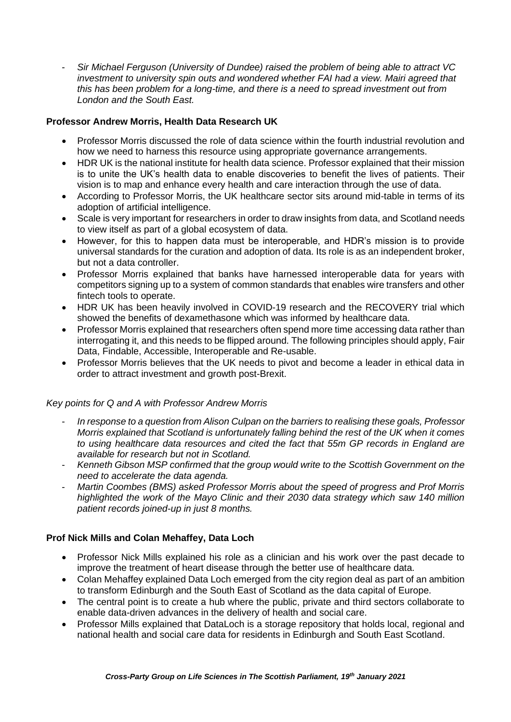- *Sir Michael Ferguson (University of Dundee) raised the problem of being able to attract VC investment to university spin outs and wondered whether FAI had a view. Mairi agreed that this has been problem for a long-time, and there is a need to spread investment out from London and the South East.* 

# **Professor Andrew Morris, Health Data Research UK**

- Professor Morris discussed the role of data science within the fourth industrial revolution and how we need to harness this resource using appropriate governance arrangements.
- HDR UK is the national institute for health data science. Professor explained that their mission is to unite the UK's health data to enable discoveries to benefit the lives of patients. Their vision is to map and enhance every health and care interaction through the use of data.
- According to Professor Morris, the UK healthcare sector sits around mid-table in terms of its adoption of artificial intelligence.
- Scale is very important for researchers in order to draw insights from data, and Scotland needs to view itself as part of a global ecosystem of data.
- However, for this to happen data must be interoperable, and HDR's mission is to provide universal standards for the curation and adoption of data. Its role is as an independent broker, but not a data controller.
- Professor Morris explained that banks have harnessed interoperable data for years with competitors signing up to a system of common standards that enables wire transfers and other fintech tools to operate.
- HDR UK has been heavily involved in COVID-19 research and the RECOVERY trial which showed the benefits of dexamethasone which was informed by healthcare data.
- Professor Morris explained that researchers often spend more time accessing data rather than interrogating it, and this needs to be flipped around. The following principles should apply, Fair Data, Findable, Accessible, Interoperable and Re-usable.
- Professor Morris believes that the UK needs to pivot and become a leader in ethical data in order to attract investment and growth post-Brexit.

# *Key points for Q and A with Professor Andrew Morris*

- *In response to a question from Alison Culpan on the barriers to realising these goals, Professor Morris explained that Scotland is unfortunately falling behind the rest of the UK when it comes to using healthcare data resources and cited the fact that 55m GP records in England are available for research but not in Scotland.*
- *Kenneth Gibson MSP confirmed that the group would write to the Scottish Government on the need to accelerate the data agenda.*
- *Martin Coombes (BMS) asked Professor Morris about the speed of progress and Prof Morris highlighted the work of the Mayo Clinic and their 2030 data strategy which saw 140 million patient records joined-up in just 8 months.*

# **Prof Nick Mills and Colan Mehaffey, Data Loch**

- Professor Nick Mills explained his role as a clinician and his work over the past decade to improve the treatment of heart disease through the better use of healthcare data.
- Colan Mehaffey explained Data Loch emerged from the city region deal as part of an ambition to transform Edinburgh and the South East of Scotland as the data capital of Europe.
- The central point is to create a hub where the public, private and third sectors collaborate to enable data-driven advances in the delivery of health and social care.
- Professor Mills explained that DataLoch is a storage repository that holds local, regional and national health and social care data for residents in Edinburgh and South East Scotland.